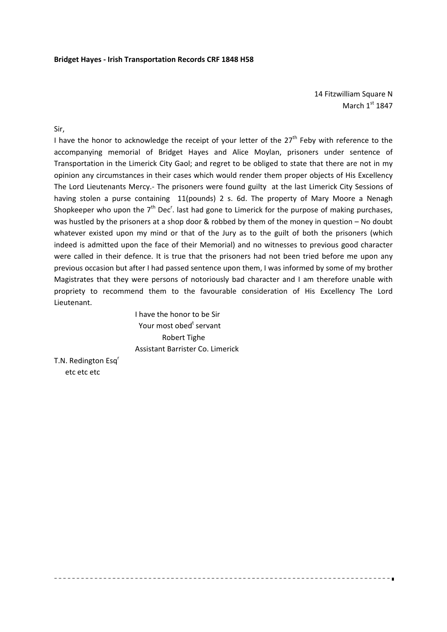14 Fitzwilliam Square N March  $1<sup>st</sup> 1847$ 

Sir,

I have the honor to acknowledge the receipt of your letter of the  $27<sup>th</sup>$  Feby with reference to the accompanying memorial of Bridget Hayes and Alice Moylan, prisoners under sentence of Transportation in the Limerick City Gaol; and regret to be obliged to state that there are not in my opinion any circumstances in their cases which would render them proper objects of His Excellency The Lord Lieutenants Mercy.- The prisoners were found guilty at the last Limerick City Sessions of having stolen a purse containing 11(pounds) 2 s. 6d. The property of Mary Moore a Nenagh Shopkeeper who upon the  $7<sup>th</sup>$  Dec<sup>r</sup>. last had gone to Limerick for the purpose of making purchases, was hustled by the prisoners at a shop door & robbed by them of the money in question – No doubt whatever existed upon my mind or that of the Jury as to the guilt of both the prisoners (which indeed is admitted upon the face of their Memorial) and no witnesses to previous good character were called in their defence. It is true that the prisoners had not been tried before me upon any previous occasion but after I had passed sentence upon them, I was informed by some of my brother Magistrates that they were persons of notoriously bad character and I am therefore unable with propriety to recommend them to the favourable consideration of His Excellency The Lord Lieutenant.

 I have the honor to be Sir Your most obed<sup>t</sup> servant Robert Tighe Assistant Barrister Co. Limerick

T.N. Redington Esq<sup>r</sup> etc etc etc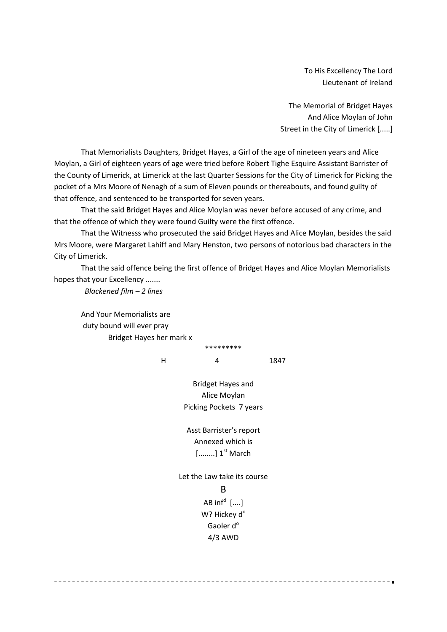To His Excellency The Lord Lieutenant of Ireland

The Memorial of Bridget Hayes And Alice Moylan of John Street in the City of Limerick [.....]

That Memorialists Daughters, Bridget Hayes, a Girl of the age of nineteen years and Alice Moylan, a Girl of eighteen years of age were tried before Robert Tighe Esquire Assistant Barrister of the County of Limerick, at Limerick at the last Quarter Sessions for the City of Limerick for Picking the pocket of a Mrs Moore of Nenagh of a sum of Eleven pounds or thereabouts, and found guilty of that offence, and sentenced to be transported for seven years.

That the said Bridget Hayes and Alice Moylan was never before accused of any crime, and that the offence of which they were found Guilty were the first offence.

That the Witnesss who prosecuted the said Bridget Hayes and Alice Moylan, besides the said Mrs Moore, were Margaret Lahiff and Mary Henston, two persons of notorious bad characters in the City of Limerick.

That the said offence being the first offence of Bridget Hayes and Alice Moylan Memorialists hopes that your Excellency .......

 *Blackened film – 2 lines*

And Your Memorialists are duty bound will ever pray Bridget Hayes her mark x

H 4 1847

Bridget Hayes and Alice Moylan Picking Pockets 7 years

\*\*\*\*\*\*\*\*\*

Asst Barrister's report Annexed which is  $[......]$  1<sup>st</sup> March

Let the Law take its course B AB inf $^{\sf d}$   $[....]$ W? Hickey d<sup>o</sup> Gaoler d<sup>o</sup> 4/3 AWD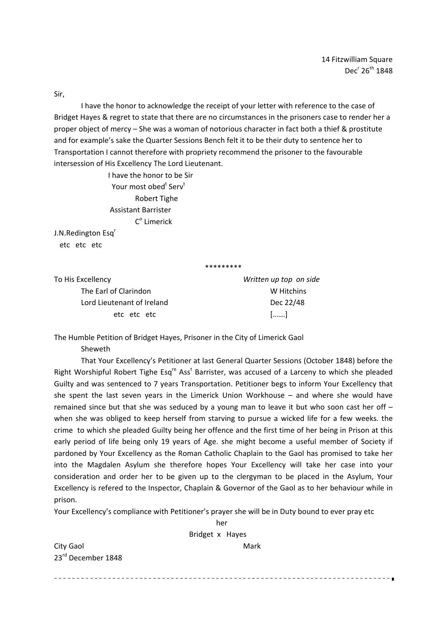Sir,

I have the honor to acknowledge the receipt of your letter with reference to the case of Bridget Hayes & regret to state that there are no circumstances in the prisoners case to render her a proper object of mercy – She was a woman of notorious character in fact both a thief & prostitute and for example's sake the Quarter Sessions Bench felt it to be their duty to sentence her to Transportation I cannot therefore with propriety recommend the prisoner to the favourable intersession of His Excellency The Lord Lieutenant.

 I have the honor to be Sir Your most obed<sup>t</sup> Serv<sup>t</sup> Robert Tighe Assistant Barrister  $C<sup>0</sup>$  Limerick

her and the control of the control of the control of the control of the control of the control of the control o

J.N.Redington Esq<sup>r</sup> etc etc etc

\*\*\*\*\*\*\*\*\*

To His Excellency *Written up top on side*  The Earl of Clarindon **The Earl of Claring Claring** W Lord Lieutenant of Ireland Dec 22/48

etc etc etc [......]

The Humble Petition of Bridget Hayes, Prisoner in the City of Limerick Gaol

Sheweth

That Your Excellency's Petitioner at last General Quarter Sessions (October 1848) before the Right Worshipful Robert Tighe Esq<sup>re</sup> Ass<sup>t</sup> Barrister, was accused of a Larceny to which she pleaded Guilty and was sentenced to 7 years Transportation. Petitioner begs to inform Your Excellency that she spent the last seven years in the Limerick Union Workhouse – and where she would have remained since but that she was seduced by a young man to leave it but who soon cast her off – when she was obliged to keep herself from starving to pursue a wicked life for a few weeks. the crime to which she pleaded Guilty being her offence and the first time of her being in Prison at this early period of life being only 19 years of Age. she might become a useful member of Society if pardoned by Your Excellency as the Roman Catholic Chaplain to the Gaol has promised to take her into the Magdalen Asylum she therefore hopes Your Excellency will take her case into your consideration and order her to be given up to the clergyman to be placed in the Asylum, Your Excellency is refered to the Inspector, Chaplain & Governor of the Gaol as to her behaviour while in prison.

Your Excellency's compliance with Petitioner's prayer she will be in Duty bound to ever pray etc

 Bridget x Hayes City Gaol **City Gaol** 23rd December 1848